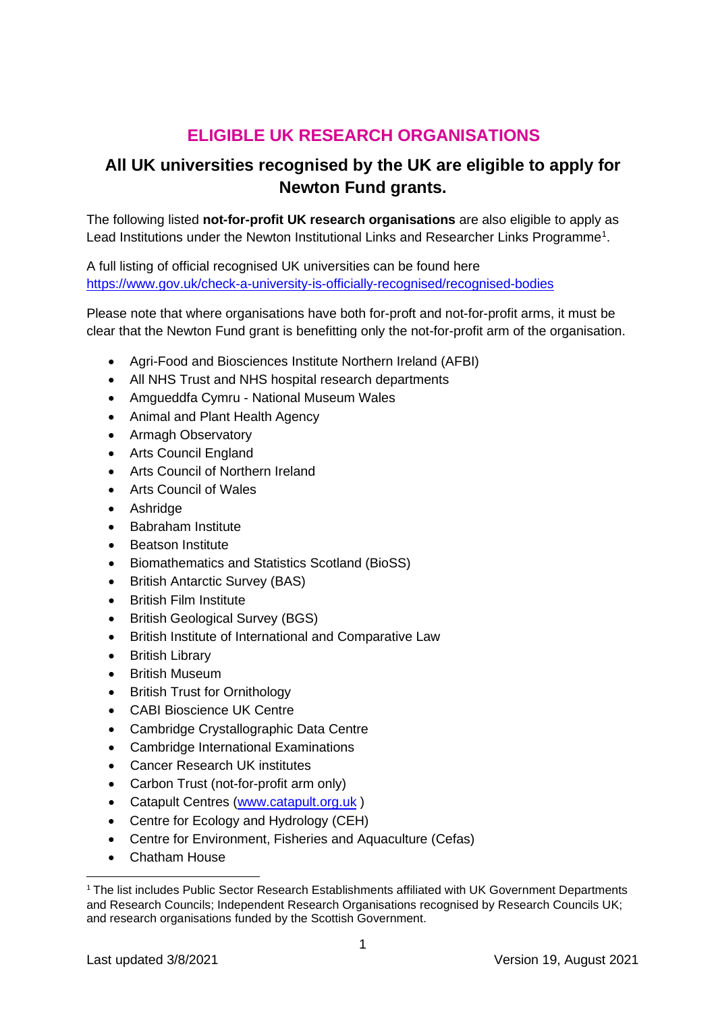## **ELIGIBLE UK RESEARCH ORGANISATIONS**

## **All UK universities recognised by the UK are eligible to apply for Newton Fund grants.**

The following listed **not-for-profit UK research organisations** are also eligible to apply as Lead Institutions under the Newton Institutional Links and Researcher Links Programme<sup>[1](#page-0-0)</sup>.

A full listing of official recognised UK universities can be found here <https://www.gov.uk/check-a-university-is-officially-recognised/recognised-bodies>

Please note that where organisations have both for-proft and not-for-profit arms, it must be clear that the Newton Fund grant is benefitting only the not-for-profit arm of the organisation.

- Agri-Food and Biosciences Institute Northern Ireland (AFBI)
- All NHS Trust and NHS hospital research departments
- Amgueddfa Cymru National Museum Wales
- Animal and Plant Health Agency
- Armagh Observatory
- Arts Council England
- Arts Council of Northern Ireland
- Arts Council of Wales
- Ashridge
- Babraham Institute
- **Beatson Institute**
- Biomathematics and Statistics Scotland (BioSS)
- British Antarctic Survey (BAS)
- British Film Institute
- British Geological Survey (BGS)
- British Institute of International and Comparative Law
- British Library
- **British Museum**
- British Trust for Ornithology
- CABI Bioscience UK Centre
- Cambridge Crystallographic Data Centre
- Cambridge International Examinations
- Cancer Research UK institutes
- Carbon Trust (not-for-profit arm only)
- Catapult Centres [\(www.catapult.org.uk](http://www.catapult.org.uk/) )
- Centre for Ecology and Hydrology (CEH)
- Centre for Environment, Fisheries and Aquaculture (Cefas)
- Chatham House

<span id="page-0-0"></span><sup>&</sup>lt;sup>1</sup> The list includes Public Sector Research Establishments affiliated with UK Government Departments and Research Councils; Independent Research Organisations recognised by Research Councils UK; and research organisations funded by the Scottish Government.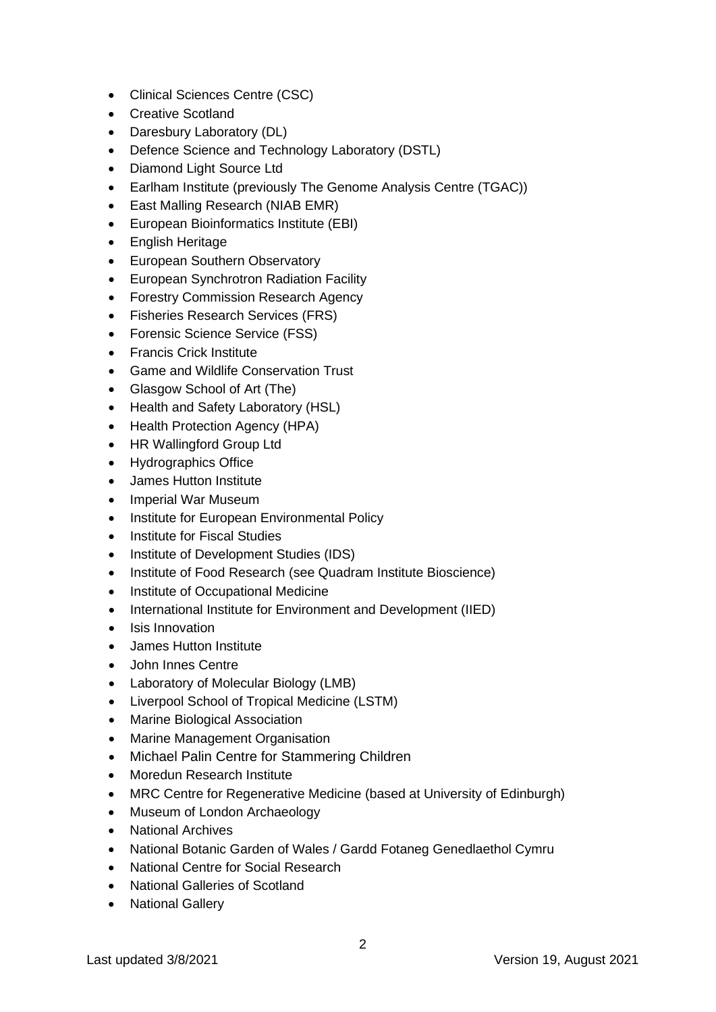- Clinical Sciences Centre (CSC)
- Creative Scotland
- Daresbury Laboratory (DL)
- Defence Science and Technology Laboratory (DSTL)
- Diamond Light Source Ltd
- Earlham Institute (previously The Genome Analysis Centre (TGAC))
- East Malling Research (NIAB EMR)
- European Bioinformatics Institute (EBI)
- English Heritage
- European Southern Observatory
- European Synchrotron Radiation Facility
- Forestry Commission Research Agency
- Fisheries Research Services (FRS)
- Forensic Science Service (FSS)
- Francis Crick Institute
- Game and Wildlife Conservation Trust
- Glasgow School of Art (The)
- Health and Safety Laboratory (HSL)
- Health Protection Agency (HPA)
- HR Wallingford Group Ltd
- Hydrographics Office
- James Hutton Institute
- Imperial War Museum
- Institute for European Environmental Policy
- Institute for Fiscal Studies
- Institute of Development Studies (IDS)
- Institute of Food Research (see Quadram Institute Bioscience)
- Institute of Occupational Medicine
- International Institute for Environment and Development (IIED)
- Isis Innovation
- James Hutton Institute
- John Innes Centre
- Laboratory of Molecular Biology (LMB)
- Liverpool School of Tropical Medicine (LSTM)
- Marine Biological Association
- Marine Management Organisation
- Michael Palin Centre for Stammering Children
- Moredun Research Institute
- MRC Centre for Regenerative Medicine (based at University of Edinburgh)
- Museum of London Archaeology
- National Archives
- National Botanic Garden of Wales / Gardd Fotaneg Genedlaethol Cymru
- National Centre for Social Research
- National Galleries of Scotland
- National Gallery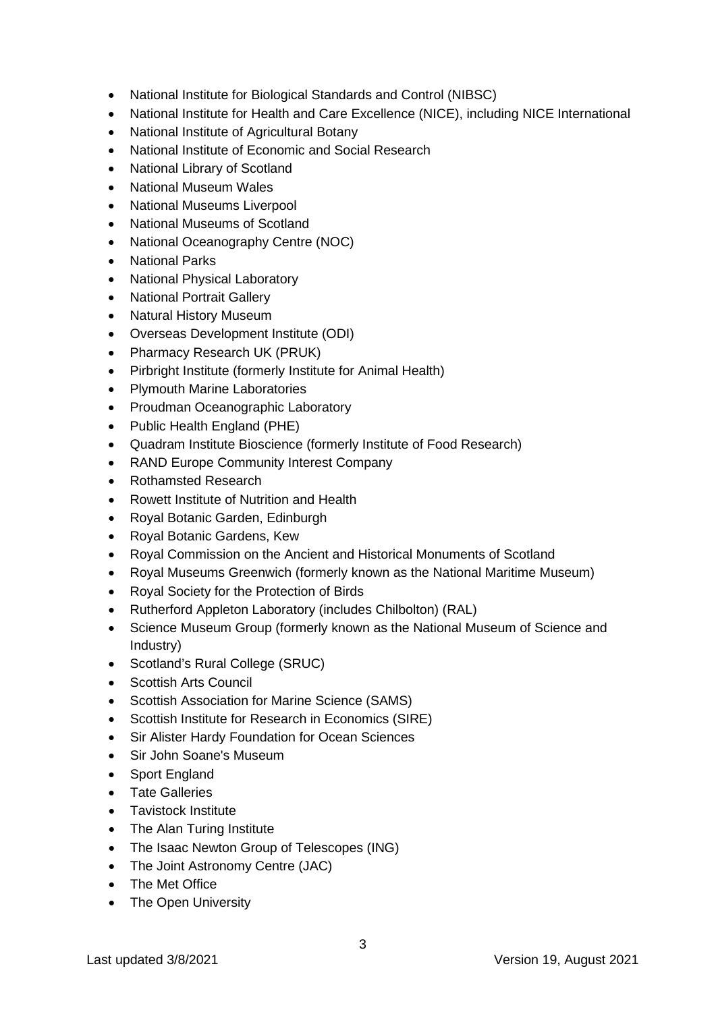- National Institute for Biological Standards and Control (NIBSC)
- National Institute for Health and Care Excellence (NICE), including NICE International
- National Institute of Agricultural Botany
- National Institute of Economic and Social Research
- National Library of Scotland
- National Museum Wales
- National Museums Liverpool
- National Museums of Scotland
- National Oceanography Centre (NOC)
- National Parks
- National Physical Laboratory
- National Portrait Gallery
- Natural History Museum
- Overseas Development Institute (ODI)
- Pharmacy Research UK (PRUK)
- Pirbright Institute (formerly Institute for Animal Health)
- Plymouth Marine Laboratories
- Proudman Oceanographic Laboratory
- Public Health England (PHE)
- Quadram Institute Bioscience (formerly Institute of Food Research)
- RAND Europe Community Interest Company
- Rothamsted Research
- Rowett Institute of Nutrition and Health
- Royal Botanic Garden, Edinburgh
- Royal Botanic Gardens, Kew
- Royal Commission on the Ancient and Historical Monuments of Scotland
- Royal Museums Greenwich (formerly known as the National Maritime Museum)
- Royal Society for the Protection of Birds
- Rutherford Appleton Laboratory (includes Chilbolton) (RAL)
- Science Museum Group (formerly known as the National Museum of Science and Industry)
- Scotland's Rural College (SRUC)
- Scottish Arts Council
- Scottish Association for Marine Science (SAMS)
- Scottish Institute for Research in Economics (SIRE)
- Sir Alister Hardy Foundation for Ocean Sciences
- Sir John Soane's Museum
- Sport England
- Tate Galleries
- Tavistock Institute
- The Alan Turing Institute
- The Isaac Newton Group of Telescopes (ING)
- The Joint Astronomy Centre (JAC)
- The Met Office
- The Open University